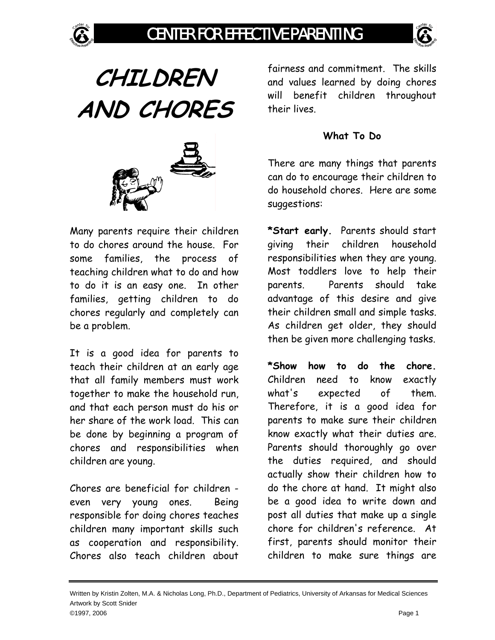

**CHILDREN AND CHORES** 



Many parents require their children to do chores around the house. For some families, the process of teaching children what to do and how to do it is an easy one. In other families, getting children to do chores regularly and completely can be a problem.

It is a good idea for parents to teach their children at an early age that all family members must work together to make the household run, and that each person must do his or her share of the work load. This can be done by beginning a program of chores and responsibilities when children are young.

Chores are beneficial for children even very young ones. Being responsible for doing chores teaches children many important skills such as cooperation and responsibility. Chores also teach children about

fairness and commitment. The skills and values learned by doing chores will benefit children throughout their lives.

## **What To Do**

There are many things that parents can do to encourage their children to do household chores. Here are some suggestions:

**\*Start early.** Parents should start giving their children household responsibilities when they are young. Most toddlers love to help their parents. Parents should take advantage of this desire and give their children small and simple tasks. As children get older, they should then be given more challenging tasks.

**\*Show how to do the chore.** Children need to know exactly what's expected of them. Therefore, it is a good idea for parents to make sure their children know exactly what their duties are. Parents should thoroughly go over the duties required, and should actually show their children how to do the chore at hand. It might also be a good idea to write down and post all duties that make up a single chore for children's reference. At first, parents should monitor their children to make sure things are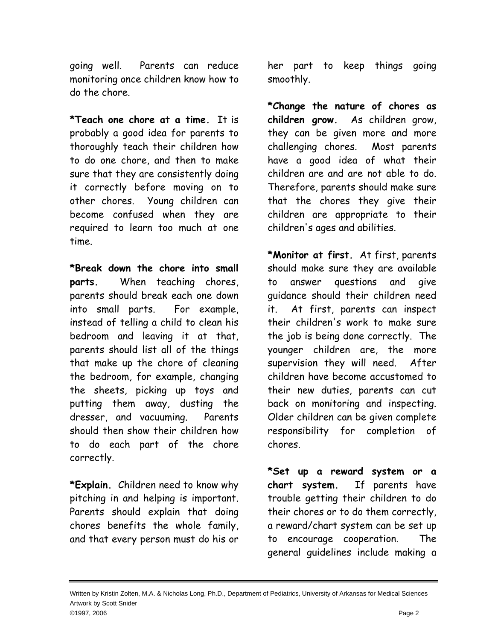going well. Parents can reduce monitoring once children know how to do the chore.

**\*Teach one chore at a time.** It is probably a good idea for parents to thoroughly teach their children how to do one chore, and then to make sure that they are consistently doing it correctly before moving on to other chores. Young children can become confused when they are required to learn too much at one time.

**\*Break down the chore into small parts.** When teaching chores, parents should break each one down into small parts. For example, instead of telling a child to clean his bedroom and leaving it at that, parents should list all of the things that make up the chore of cleaning the bedroom, for example, changing the sheets, picking up toys and putting them away, dusting the dresser, and vacuuming. Parents should then show their children how to do each part of the chore correctly.

**\*Explain.** Children need to know why pitching in and helping is important. Parents should explain that doing chores benefits the whole family, and that every person must do his or

her part to keep things going smoothly.

**\*Change the nature of chores as children grow.** As children grow, they can be given more and more challenging chores. Most parents have a good idea of what their children are and are not able to do. Therefore, parents should make sure that the chores they give their children are appropriate to their children's ages and abilities.

**\*Monitor at first.** At first, parents should make sure they are available to answer questions and give guidance should their children need it. At first, parents can inspect their children's work to make sure the job is being done correctly. The younger children are, the more supervision they will need. After children have become accustomed to their new duties, parents can cut back on monitoring and inspecting. Older children can be given complete responsibility for completion of chores.

**\*Set up a reward system or a chart system.** If parents have trouble getting their children to do their chores or to do them correctly, a reward/chart system can be set up to encourage cooperation. The general guidelines include making a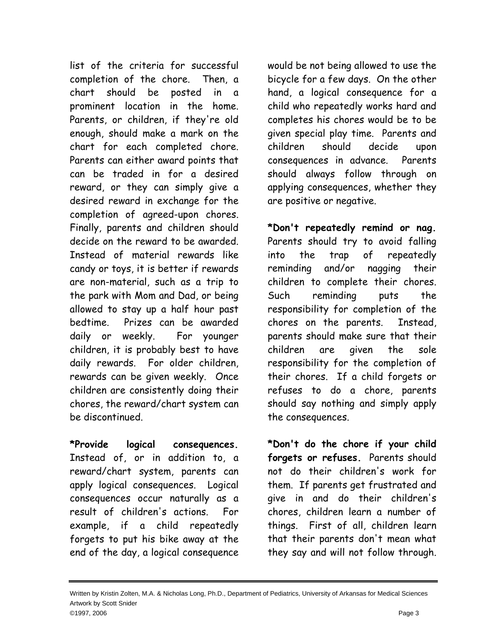list of the criteria for successful completion of the chore. Then, a chart should be posted in a prominent location in the home. Parents, or children, if they're old enough, should make a mark on the chart for each completed chore. Parents can either award points that can be traded in for a desired reward, or they can simply give a desired reward in exchange for the completion of agreed-upon chores. Finally, parents and children should decide on the reward to be awarded. Instead of material rewards like candy or toys, it is better if rewards are non-material, such as a trip to the park with Mom and Dad, or being allowed to stay up a half hour past bedtime. Prizes can be awarded daily or weekly. For younger children, it is probably best to have daily rewards. For older children, rewards can be given weekly. Once children are consistently doing their chores, the reward/chart system can be discontinued.

**\*Provide logical consequences.** Instead of, or in addition to, a reward/chart system, parents can apply logical consequences. Logical consequences occur naturally as a result of children's actions. For example, if a child repeatedly forgets to put his bike away at the end of the day, a logical consequence

would be not being allowed to use the bicycle for a few days. On the other hand, a logical consequence for a child who repeatedly works hard and completes his chores would be to be given special play time. Parents and children should decide upon consequences in advance. Parents should always follow through on applying consequences, whether they are positive or negative.

**\*Don't repeatedly remind or nag.** Parents should try to avoid falling into the trap of repeatedly reminding and/or nagging their children to complete their chores. Such reminding puts the responsibility for completion of the chores on the parents. Instead, parents should make sure that their children are given the sole responsibility for the completion of their chores. If a child forgets or refuses to do a chore, parents should say nothing and simply apply the consequences.

**\*Don't do the chore if your child forgets or refuses.** Parents should not do their children's work for them. If parents get frustrated and give in and do their children's chores, children learn a number of things. First of all, children learn that their parents don't mean what they say and will not follow through.